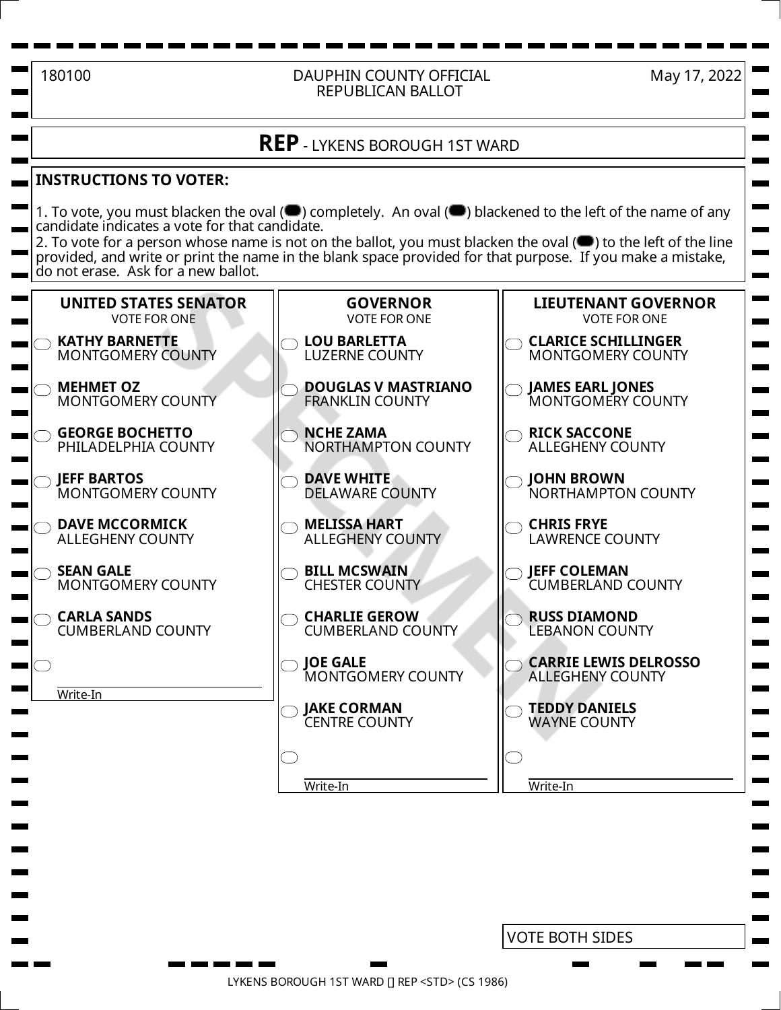## 180100 DAUPHIN COUNTY OFFICIAL REPUBLICAN BALLOT

May 17, 2022

## **REP** - LYKENS BOROUGH 1ST WARD

## **INSTRUCTIONS TO VOTER:**

1. To vote, you must blacken the oval (●) completely. An oval (●) blackened to the left of the name of any candidate indicates a vote for that candidate.

2. To vote for a person whose name is not on the ballot, you must blacken the oval  $($ **)** to the left of the line provided, and write or print the name in the blank space provided for that purpose. If you make a mistake, do not erase. Ask for a new ballot.



VOTE BOTH SIDES